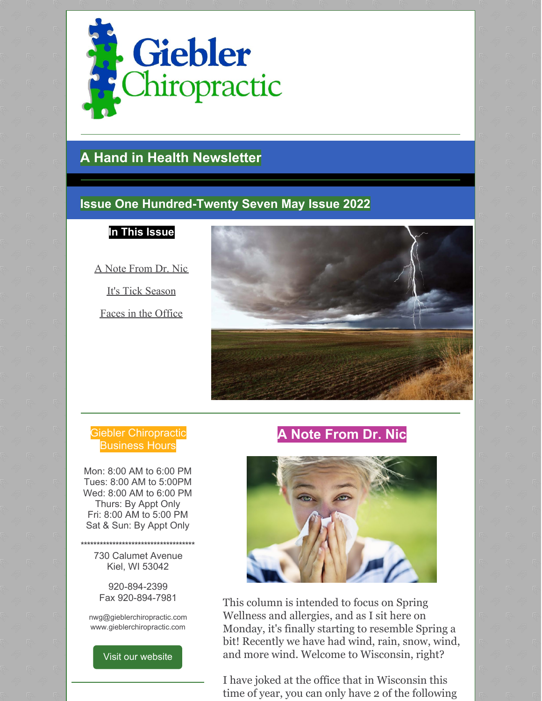

## **A Hand in Health Newsletter**

## **Issue One Hundred-Twenty Seven May Issue 2022**

**In This Issue**

A Note From Dr. Nic

It's Tick Season

Faces in the Office



### Giebler Chiropractic Business Hours

Mon: 8:00 AM to 6:00 PM Tues: 8:00 AM to 5:00PM Wed: 8:00 AM to 6:00 PM Thurs: By Appt Only Fri: 8:00 AM to 5:00 PM Sat & Sun: By Appt Only

**\*\*\*\*\*\*\*\*\*\*\*\*\*\*\*\*\*\*\*\*\*\*\*\*\*\*\*\*\*\*\*\*\*\*\*\*** 730 Calumet Avenue Kiel, WI 53042

> 920-894-2399 Fax 920-894-7981

nwg@gieblerchiropractic.com www.gieblerchiropractic.com

Visit our [website](http://www.gieblerchiropractic.com)

## **A Note From Dr. Nic**



This column is intended to focus on Spring Wellness and allergies, and as I sit here on Monday, it's finally starting to resemble Spring a bit! Recently we have had wind, rain, snow, wind, and more wind. Welcome to Wisconsin, right?

I have joked at the office that in Wisconsin this time of year, you can only have 2 of the following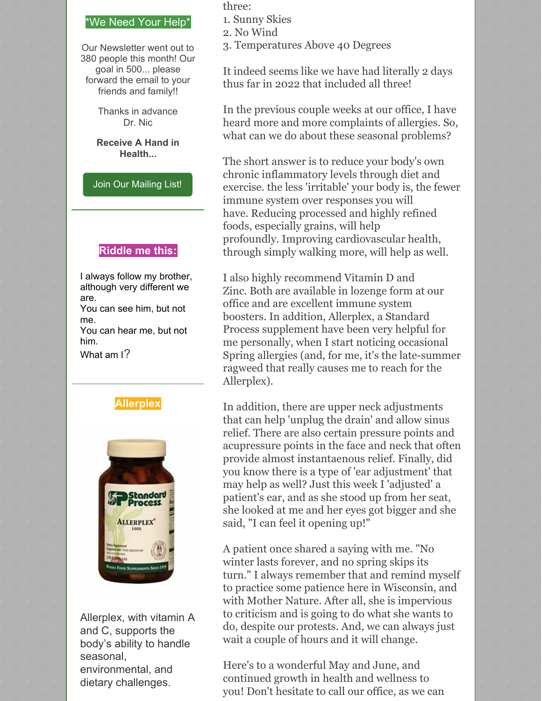#### \*We Need Your Help\*

Our Newsletter went out to 380 people this month! Our goal in 500... please forward the email to your friends and family!!

> Thanks in advance Dr. Nic

**Receive A Hand in Health...**

Join Our [Mailing](http://www.gieblerchiropractic.com/newsletter/) List!

#### **Riddle me this:**

I always follow my brother, although very different we are.

You can see him, but not me.

You can hear me, but not him.

What am I?





Allerplex, with vitamin A and C, supports the body's ability to handle seasonal, environmental, and dietary challenges.

three:

- 1. Sunny Skies
- 2. No Wind
- 3. Temperatures Above 40 Degrees

It indeed seems like we have had literally 2 days thus far in 2022 that included all three!

In the previous couple weeks at our office, I have heard more and more complaints of allergies. So, what can we do about these seasonal problems?

The short answer is to reduce your body's own chronic inflammatory levels through diet and exercise. the less 'irritable' your body is, the fewer immune system over responses you will have. Reducing processed and highly refined foods, especially grains, will help profoundly. Improving cardiovascular health, through simply walking more, will help as well.

I also highly recommend Vitamin D and Zinc. Both are available in lozenge form at our office and are excellent immune system boosters. In addition, Allerplex, a Standard Process supplement have been very helpful for me personally, when I start noticing occasional Spring allergies (and, for me, it's the late-summer ragweed that really causes me to reach for the Allerplex).

In addition, there are upper neck adjustments that can help 'unplug the drain' and allow sinus relief. There are also certain pressure points and acupressure points in the face and neck that often provide almost instantaenous relief. Finally, did you know there is a type of 'ear adjustment' that may help as well? Just this week I 'adjusted' a patient's ear, and as she stood up from her seat, she looked at me and her eyes got bigger and she said, "I can feel it opening up!"

A patient once shared a saying with me. "No winter lasts forever, and no spring skips its turn." I always remember that and remind myself to practice some patience here in Wisconsin, and with Mother Nature. After all, she is impervious to criticism and is going to do what she wants to do, despite our protests. And, we can always just wait a couple of hours and it will change.

Here's to a wonderful May and June, and continued growth in health and wellness to you! Don't hesitate to call our office, as we can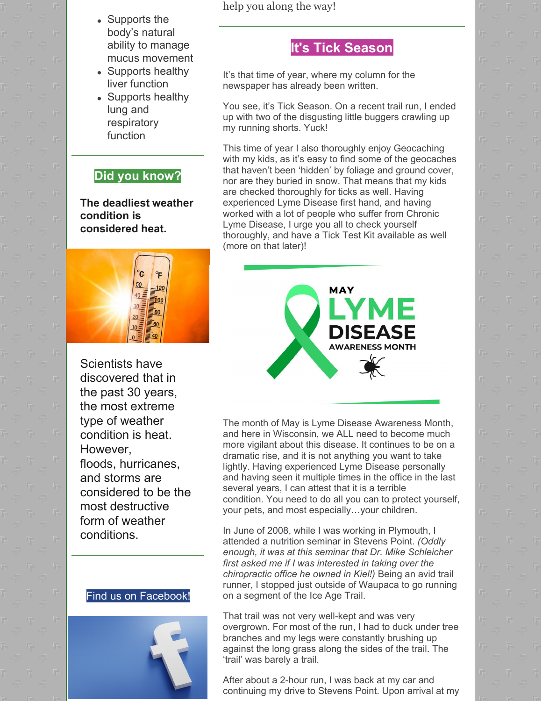- Supports the body's natural ability to manage mucus movement
- Supports healthy liver function
- Supports healthy lung and respiratory function

## **Did you know?**

**The deadliest [weather](https://facts.net/weather-facts/) condition is considered heat.**



Scientists have discovered that in the past 30 years, the most extreme type of weather condition is heat. However, floods, [hurricanes](https://facts.net/hurricane-facts/), and storms are considered to be the most destructive form of weather conditions.





help you along the way!

## **It's Tick Season**

It's that time of year, where my column for the newspaper has already been written.

You see, it's Tick Season. On a recent trail run, I ended up with two of the disgusting little buggers crawling up my running shorts. Yuck!

This time of year I also thoroughly enjoy Geocaching with my kids, as it's easy to find some of the geocaches that haven't been 'hidden' by foliage and ground cover, nor are they buried in snow. That means that my kids are checked thoroughly for ticks as well. Having experienced Lyme Disease first hand, and having worked with a lot of people who suffer from Chronic Lyme Disease, I urge you all to check yourself thoroughly, and have a Tick Test Kit available as well (more on that later)!



The month of May is Lyme Disease Awareness Month, and here in Wisconsin, we ALL need to become much more vigilant about this disease. It continues to be on a dramatic rise, and it is not anything you want to take lightly. Having experienced Lyme Disease personally and having seen it multiple times in the office in the last several years, I can attest that it is a terrible condition. You need to do all you can to protect yourself, your pets, and most especially…your children.

In June of 2008, while I was working in Plymouth, I attended a nutrition seminar in Stevens Point. *(Oddly enough, it was at this seminar that Dr. Mike Schleicher first asked me if I was interested in taking over the chiropractic office he owned in Kiel!)* Being an avid trail runner, I stopped just outside of Waupaca to go running on a segment of the Ice Age Trail.

That trail was not very well-kept and was very overgrown. For most of the run, I had to duck under tree branches and my legs were constantly brushing up against the long grass along the sides of the trail. The 'trail' was barely a trail.

After about a 2-hour run, I was back at my car and continuing my drive to Stevens Point. Upon arrival at my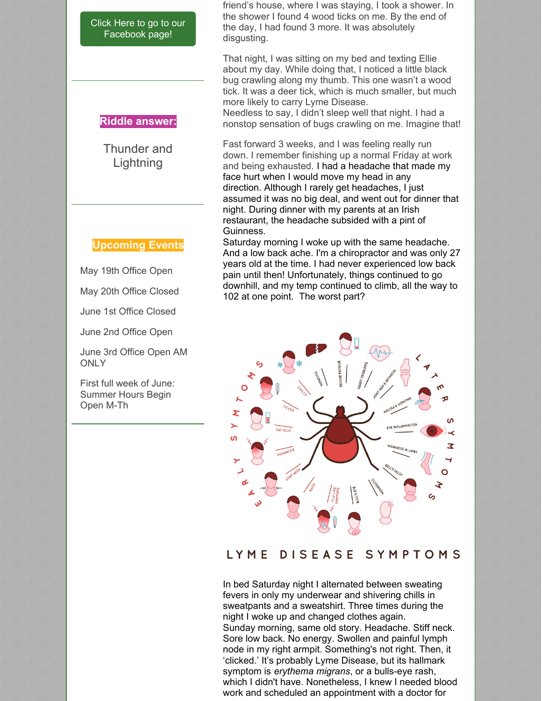Click Here to go to our [Facebook](https://www.facebook.com/gieblerchiro/) page!

#### **Riddle answer:**

Thunder and **Lightning** 

#### **Upcoming Events**

May 19th Office Open

May 20th Office Closed

June 1st Office Closed

June 2nd Office Open

June 3rd Office Open AM **ONLY** 

First full week of June: Summer Hours Begin Open M-Th

friend's house, where I was staying, I took a shower. In the shower I found 4 wood ticks on me. By the end of the day, I had found 3 more. It was absolutely disgusting.

That night, I was sitting on my bed and texting Ellie about my day. While doing that, I noticed a little black bug crawling along my thumb. This one wasn't a wood tick. It was a deer tick, which is much smaller, but much more likely to carry Lyme Disease.

Needless to say, I didn't sleep well that night. I had a nonstop sensation of bugs crawling on me. Imagine that!

Fast forward 3 weeks, and I was feeling really run down. I remember finishing up a normal Friday at work and being exhausted. I had a headache that made my face hurt when I would move my head in any direction. Although I rarely get headaches, I just assumed it was no big deal, and went out for dinner that night. During dinner with my parents at an Irish restaurant, the headache subsided with a pint of Guinness.

Saturday morning I woke up with the same headache. And a low back ache. I'm a chiropractor and was only 27 years old at the time. I had never experienced low back pain until then! Unfortunately, things continued to go downhill, and my temp continued to climb, all the way to 102 at one point. The worst part?



#### DISEASE SYMPTOMS LYME

In bed Saturday night I alternated between sweating fevers in only my underwear and shivering chills in sweatpants and a sweatshirt. Three times during the night I woke up and changed clothes again. Sunday morning, same old story. Headache. Stiff neck. Sore low back. No energy. Swollen and painful lymph node in my right armpit. Something's not right. Then, it 'clicked.' It's probably Lyme Disease, but its hallmark symptom is *erythema migrans*, or a bulls-eye rash, which I didn't have. Nonetheless, I knew I needed blood work and scheduled an appointment with a doctor for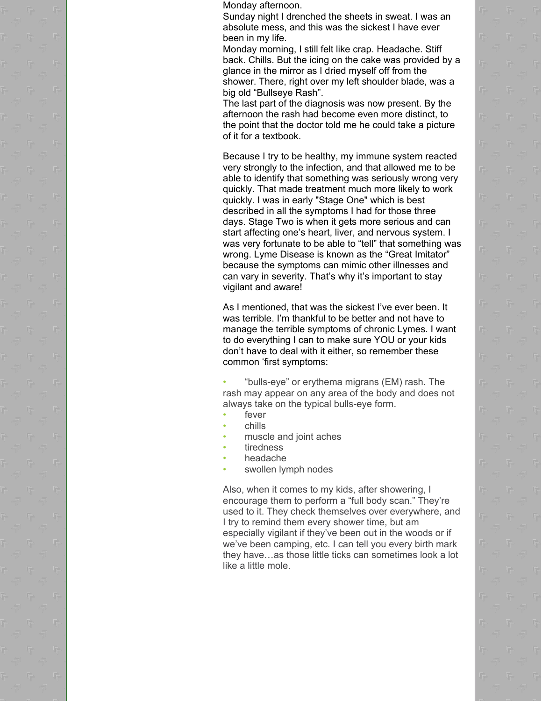Monday afternoon.

Sunday night I drenched the sheets in sweat. I was an absolute mess, and this was the sickest I have ever been in my life.

Monday morning, I still felt like crap. Headache. Stiff back. Chills. But the icing on the cake was provided by a glance in the mirror as I dried myself off from the shower. There, right over my left shoulder blade, was a big old "Bullseye Rash".

The last part of the diagnosis was now present. By the afternoon the rash had become even more distinct, to the point that the doctor told me he could take a picture of it for a textbook.

Because I try to be healthy, my immune system reacted very strongly to the infection, and that allowed me to be able to identify that something was seriously wrong very quickly. That made treatment much more likely to work quickly. I was in early "Stage One" which is best described in all the symptoms I had for those three days. Stage Two is when it gets more serious and can start affecting one's heart, liver, and nervous system. I was very fortunate to be able to "tell" that something was wrong. Lyme Disease is known as the "Great Imitator" because the symptoms can mimic other illnesses and can vary in severity. That's why it's important to stay vigilant and aware!

As I mentioned, that was the sickest I've ever been. It was terrible. I'm thankful to be better and not have to manage the terrible symptoms of chronic Lymes. I want to do everything I can to make sure YOU or your kids don't have to deal with it either, so remember these common 'first symptoms:

• "bulls-eye" or erythema migrans (EM) rash. The rash may appear on any area of the body and does not always take on the typical bulls-eye form.

- fever
- chills
- muscle and joint aches
- tiredness
- headache
- swollen lymph nodes

Also, when it comes to my kids, after showering, I encourage them to perform a "full body scan." They're used to it. They check themselves over everywhere, and I try to remind them every shower time, but am especially vigilant if they've been out in the woods or if we've been camping, etc. I can tell you every birth mark they have…as those little ticks can sometimes look a lot like a little mole.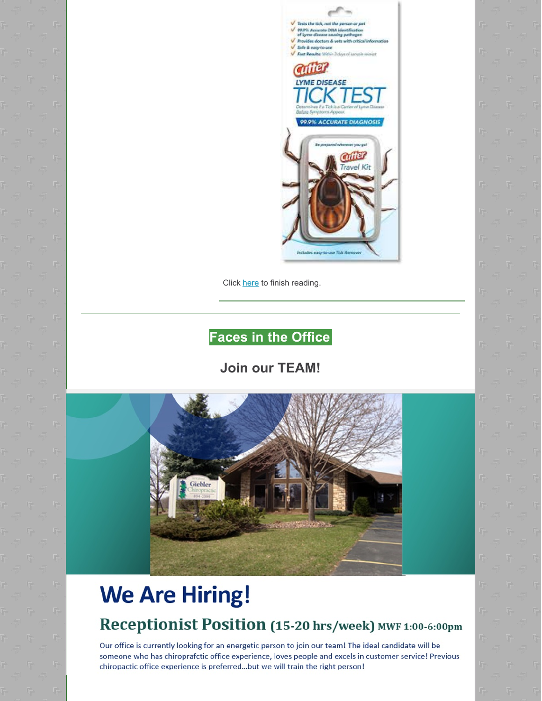

Click [here](https://gieblerchiropractic.blogspot.com/2022/05/its-tick-season.html) to finish reading.

## **Faces in the Office**

## **Join our TEAM!**



# **We Are Hiring!**

## Receptionist Position (15-20 hrs/week) MWF 1:00-6:00pm

Our office is currently looking for an energetic person to join our team! The ideal candidate will be someone who has chiroprafctic office experience, loves people and excels in customer service! Previous chiropactic office experience is preferred...but we will train the right person!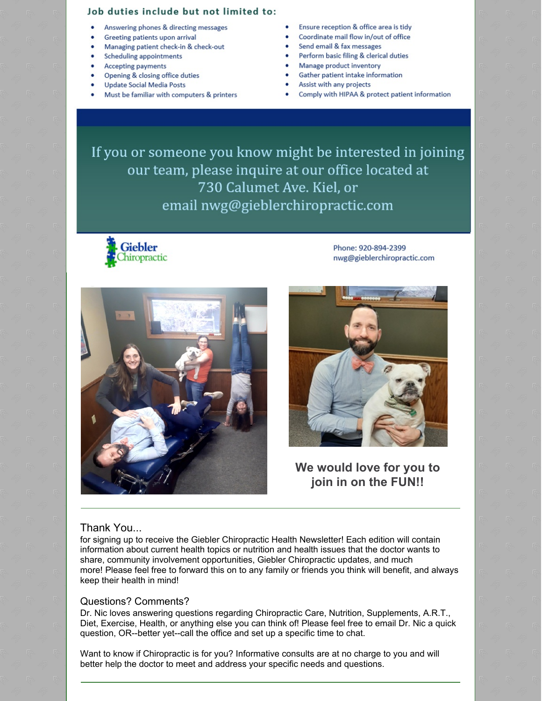#### Job duties include but not limited to:

- Answering phones & directing messages
- Greeting patients upon arrival
- Managing patient check-in & check-out
- **Scheduling appointments**
- **Accepting payments**
- Opening & closing office duties
- **Update Social Media Posts**
- Must be familiar with computers & printers
- Ensure reception & office area is tidy  $\bullet$
- Coordinate mail flow in/out of office
- Send email & fax messages
- Perform basic filing & clerical duties
- Manage product inventory
- Gather patient intake information
- Assist with any projects
- Comply with HIPAA & protect patient information

If you or someone you know might be interested in joining our team, please inquire at our office located at 730 Calumet Ave. Kiel, or email nwg@gieblerchiropractic.com



Phone: 920-894-2399 nwg@gieblerchiropractic.com





We would love for you to join in on the FUN!!

#### Thank You...

for signing up to receive the Giebler Chiropractic Health Newsletter! Each edition will contain information about current health topics or nutrition and health issues that the doctor wants to share, community involvement opportunities, Giebler Chiropractic updates, and much more! Please feel free to forward this on to any family or friends you think will benefit, and always keep their health in mind!

#### **Questions? Comments?**

Dr. Nic loves answering questions regarding Chiropractic Care, Nutrition, Supplements, A.R.T., Diet, Exercise, Health, or anything else you can think of! Please feel free to email Dr. Nic a quick question, OR--better yet--call the office and set up a specific time to chat.

Want to know if Chiropractic is for you? Informative consults are at no charge to you and will better help the doctor to meet and address your specific needs and questions.